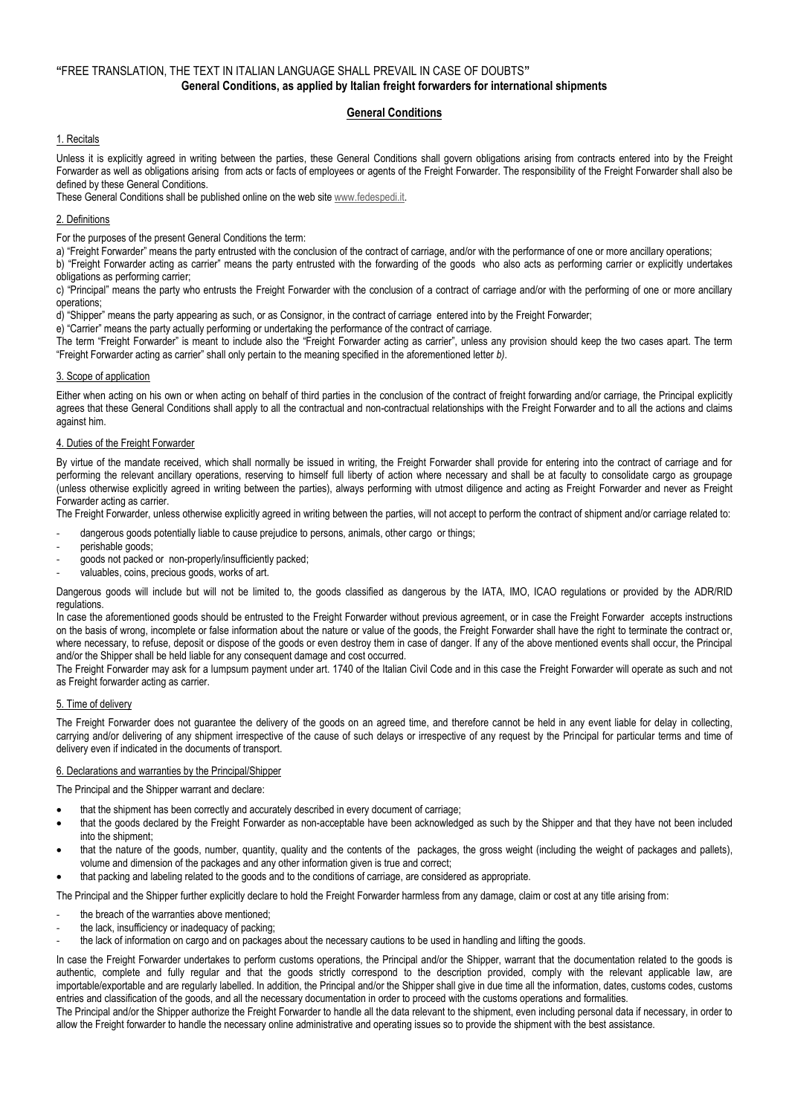# **"**FREE TRANSLATION, THE TEXT IN ITALIAN LANGUAGE SHALL PREVAIL IN CASE OF DOUBTS**" General Conditions, as applied by Italian freight forwarders for international shipments**

# **General Conditions**

## 1. Recitals

Unless it is explicitly agreed in writing between the parties, these General Conditions shall govern obligations arising from contracts entered into by the Freight Forwarder as well as obligations arising from acts or facts of employees or agents of the Freight Forwarder. The responsibility of the Freight Forwarder shall also be defined by these General Conditions.

These General Conditions shall be published online on the web sit[e www.fedespedi.it.](http://www.fedespedi.it/)

## 2. Definitions

For the purposes of the present General Conditions the term:

a) "Freight Forwarder" means the party entrusted with the conclusion of the contract of carriage, and/or with the performance of one or more ancillary operations;

b) "Freight Forwarder acting as carrier" means the party entrusted with the forwarding of the goods who also acts as performing carrier or explicitly undertakes obligations as performing carrier;

c) "Principal" means the party who entrusts the Freight Forwarder with the conclusion of a contract of carriage and/or with the performing of one or more ancillary operations;

d) "Shipper" means the party appearing as such, or as Consignor, in the contract of carriage entered into by the Freight Forwarder;

e) "Carrier" means the party actually performing or undertaking the performance of the contract of carriage.

The term "Freight Forwarder" is meant to include also the "Freight Forwarder acting as carrier", unless any provision should keep the two cases apart. The term "Freight Forwarder acting as carrier" shall only pertain to the meaning specified in the aforementioned letter *b)*.

### 3. Scope of application

Either when acting on his own or when acting on behalf of third parties in the conclusion of the contract of freight forwarding and/or carriage, the Principal explicitly agrees that these General Conditions shall apply to all the contractual and non-contractual relationships with the Freight Forwarder and to all the actions and claims against him.

### 4. Duties of the Freight Forwarder

By virtue of the mandate received, which shall normally be issued in writing, the Freight Forwarder shall provide for entering into the contract of carriage and for performing the relevant ancillary operations, reserving to himself full liberty of action where necessary and shall be at faculty to consolidate cargo as groupage (unless otherwise explicitly agreed in writing between the parties), always performing with utmost diligence and acting as Freight Forwarder and never as Freight Forwarder acting as carrier.

The Freight Forwarder, unless otherwise explicitly agreed in writing between the parties, will not accept to perform the contract of shipment and/or carriage related to:

- dangerous goods potentially liable to cause prejudice to persons, animals, other cargo or things;
- perishable goods;
- goods not packed or non-properly/insufficiently packed;
- valuables, coins, precious goods, works of art.

Dangerous goods will include but will not be limited to, the goods classified as dangerous by the IATA, IMO, ICAO regulations or provided by the ADR/RID regulations.

In case the aforementioned goods should be entrusted to the Freight Forwarder without previous agreement, or in case the Freight Forwarder accepts instructions on the basis of wrong, incomplete or false information about the nature or value of the goods, the Freight Forwarder shall have the right to terminate the contract or, where necessary, to refuse, deposit or dispose of the goods or even destroy them in case of danger. If any of the above mentioned events shall occur, the Principal and/or the Shipper shall be held liable for any consequent damage and cost occurred.

The Freight Forwarder may ask for a lumpsum payment under art. 1740 of the Italian Civil Code and in this case the Freight Forwarder will operate as such and not as Freight forwarder acting as carrier.

### 5. Time of delivery

The Freight Forwarder does not guarantee the delivery of the goods on an agreed time, and therefore cannot be held in any event liable for delay in collecting, carrying and/or delivering of any shipment irrespective of the cause of such delays or irrespective of any request by the Principal for particular terms and time of delivery even if indicated in the documents of transport.

### 6. Declarations and warranties by the Principal/Shipper

The Principal and the Shipper warrant and declare:

- that the shipment has been correctly and accurately described in every document of carriage;
- that the goods declared by the Freight Forwarder as non-acceptable have been acknowledged as such by the Shipper and that they have not been included into the shipment;
- that the nature of the goods, number, quantity, quality and the contents of the packages, the gross weight (including the weight of packages and pallets), volume and dimension of the packages and any other information given is true and correct;
- that packing and labeling related to the goods and to the conditions of carriage, are considered as appropriate.

The Principal and the Shipper further explicitly declare to hold the Freight Forwarder harmless from any damage, claim or cost at any title arising from:

- the breach of the warranties above mentioned;
- the lack, insufficiency or inadequacy of packing;
- the lack of information on cargo and on packages about the necessary cautions to be used in handling and lifting the goods.

In case the Freight Forwarder undertakes to perform customs operations, the Principal and/or the Shipper, warrant that the documentation related to the goods is authentic, complete and fully regular and that the goods strictly correspond to the description provided, comply with the relevant applicable law, are importable/exportable and are regularly labelled. In addition, the Principal and/or the Shipper shall give in due time all the information, dates, customs codes, customs entries and classification of the goods, and all the necessary documentation in order to proceed with the customs operations and formalities.

The Principal and/or the Shipper authorize the Freight Forwarder to handle all the data relevant to the shipment, even including personal data if necessary, in order to allow the Freight forwarder to handle the necessary online administrative and operating issues so to provide the shipment with the best assistance.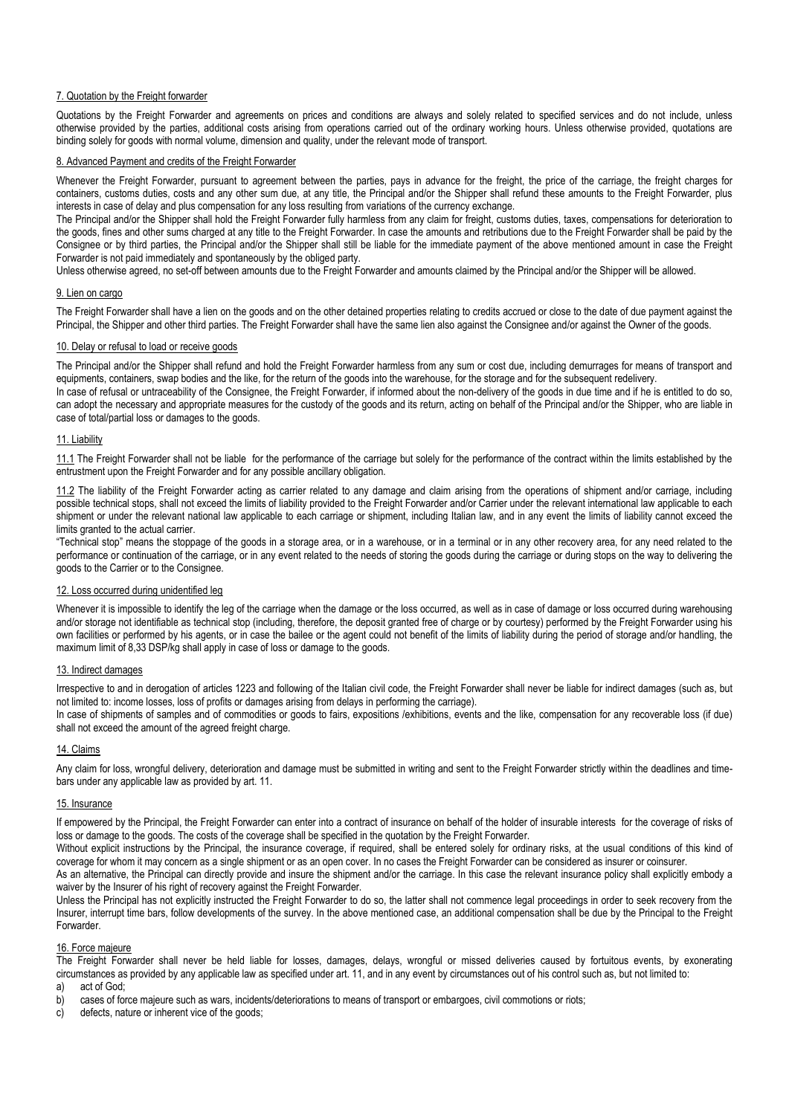### 7. Quotation by the Freight forwarder

Quotations by the Freight Forwarder and agreements on prices and conditions are always and solely related to specified services and do not include, unless otherwise provided by the parties, additional costs arising from operations carried out of the ordinary working hours. Unless otherwise provided, quotations are binding solely for goods with normal volume, dimension and quality, under the relevant mode of transport.

### 8. Advanced Payment and credits of the Freight Forwarder

Whenever the Freight Forwarder, pursuant to agreement between the parties, pays in advance for the freight, the price of the carriage, the freight charges for containers, customs duties, costs and any other sum due, at any title, the Principal and/or the Shipper shall refund these amounts to the Freight Forwarder, plus interests in case of delay and plus compensation for any loss resulting from variations of the currency exchange.

The Principal and/or the Shipper shall hold the Freight Forwarder fully harmless from any claim for freight, customs duties, taxes, compensations for deterioration to the goods, fines and other sums charged at any title to the Freight Forwarder. In case the amounts and retributions due to the Freight Forwarder shall be paid by the Consignee or by third parties, the Principal and/or the Shipper shall still be liable for the immediate payment of the above mentioned amount in case the Freight Forwarder is not paid immediately and spontaneously by the obliged party.

Unless otherwise agreed, no set-off between amounts due to the Freight Forwarder and amounts claimed by the Principal and/or the Shipper will be allowed.

### 9. Lien on cargo

The Freight Forwarder shall have a lien on the goods and on the other detained properties relating to credits accrued or close to the date of due payment against the Principal, the Shipper and other third parties. The Freight Forwarder shall have the same lien also against the Consignee and/or against the Owner of the goods.

### 10. Delay or refusal to load or receive goods

The Principal and/or the Shipper shall refund and hold the Freight Forwarder harmless from any sum or cost due, including demurrages for means of transport and equipments, containers, swap bodies and the like, for the return of the goods into the warehouse, for the storage and for the subsequent redelivery. In case of refusal or untraceability of the Consignee, the Freight Forwarder, if informed about the non-delivery of the goods in due time and if he is entitled to do so,

can adopt the necessary and appropriate measures for the custody of the goods and its return, acting on behalf of the Principal and/or the Shipper, who are liable in case of total/partial loss or damages to the goods.

### 11. Liability

11.1 The Freight Forwarder shall not be liable for the performance of the carriage but solely for the performance of the contract within the limits established by the entrustment upon the Freight Forwarder and for any possible ancillary obligation.

11.2 The liability of the Freight Forwarder acting as carrier related to any damage and claim arising from the operations of shipment and/or carriage, including possible technical stops, shall not exceed the limits of liability provided to the Freight Forwarder and/or Carrier under the relevant international law applicable to each shipment or under the relevant national law applicable to each carriage or shipment, including Italian law, and in any event the limits of liability cannot exceed the limits granted to the actual carrier.

"Technical stop" means the stoppage of the goods in a storage area, or in a warehouse, or in a terminal or in any other recovery area, for any need related to the performance or continuation of the carriage, or in any event related to the needs of storing the goods during the carriage or during stops on the way to delivering the goods to the Carrier or to the Consignee.

### 12. Loss occurred during unidentified leg

Whenever it is impossible to identify the leg of the carriage when the damage or the loss occurred, as well as in case of damage or loss occurred during warehousing and/or storage not identifiable as technical stop (including, therefore, the deposit granted free of charge or by courtesy) performed by the Freight Forwarder using his own facilities or performed by his agents, or in case the bailee or the agent could not benefit of the limits of liability during the period of storage and/or handling, the maximum limit of 8.33 DSP/kg shall apply in case of loss or damage to the goods.

### 13. Indirect damages

Irrespective to and in derogation of articles 1223 and following of the Italian civil code, the Freight Forwarder shall never be liable for indirect damages (such as, but not limited to: income losses, loss of profits or damages arising from delays in performing the carriage).

In case of shipments of samples and of commodities or goods to fairs, expositions /exhibitions, events and the like, compensation for any recoverable loss (if due) shall not exceed the amount of the agreed freight charge.

### 14. Claims

Any claim for loss, wrongful delivery, deterioration and damage must be submitted in writing and sent to the Freight Forwarder strictly within the deadlines and timebars under any applicable law as provided by art. 11.

### 15. Insurance

If empowered by the Principal, the Freight Forwarder can enter into a contract of insurance on behalf of the holder of insurable interests for the coverage of risks of loss or damage to the goods. The costs of the coverage shall be specified in the quotation by the Freight Forwarder.

Without explicit instructions by the Principal, the insurance coverage, if required, shall be entered solely for ordinary risks, at the usual conditions of this kind of coverage for whom it may concern as a single shipment or as an open cover. In no cases the Freight Forwarder can be considered as insurer or coinsurer.

As an alternative, the Principal can directly provide and insure the shipment and/or the carriage. In this case the relevant insurance policy shall explicitly embody a waiver by the Insurer of his right of recovery against the Freight Forwarder.

Unless the Principal has not explicitly instructed the Freight Forwarder to do so, the latter shall not commence legal proceedings in order to seek recovery from the Insurer, interrupt time bars, follow developments of the survey. In the above mentioned case, an additional compensation shall be due by the Principal to the Freight Forwarder.

### 16. Force majeure

The Freight Forwarder shall never be held liable for losses, damages, delays, wrongful or missed deliveries caused by fortuitous events, by exonerating circumstances as provided by any applicable law as specified under art. 11, and in any event by circumstances out of his control such as, but not limited to: a) act of God;

b) cases of force majeure such as wars, incidents/deteriorations to means of transport or embargoes, civil commotions or riots;

c) defects, nature or inherent vice of the goods;